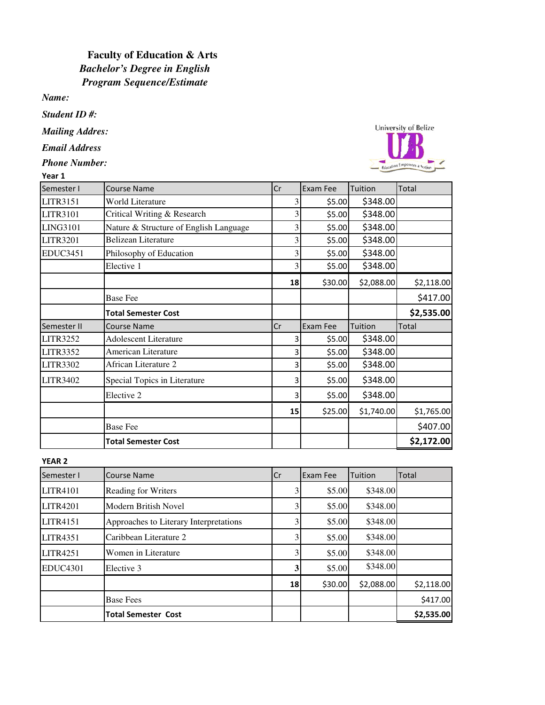## *Program Sequence/Estimate Bachelor's Degree in English*  **Faculty of Education & Arts**

*Name:*

*Student ID #:*

*Mailing Addres:*

*Email Address*

*Phone Number:*

| Year 1          |                                        |    |          |            |                   |
|-----------------|----------------------------------------|----|----------|------------|-------------------|
| Semester I      | <b>Course Name</b>                     | Cr | Exam Fee | Tuition    | Total             |
| LITR3151        | World Literature                       | 3  | \$5.00   | \$348.00   |                   |
| LITR3101        | Critical Writing & Research            | 3  | \$5.00   | \$348.00   |                   |
| <b>LING3101</b> | Nature & Structure of English Language | 3  | \$5.00   | \$348.00   |                   |
| <b>LITR3201</b> | <b>Belizean Literature</b>             | 3  | \$5.00   | \$348.00   |                   |
| <b>EDUC3451</b> | Philosophy of Education                | 3  | \$5.00   | \$348.00   |                   |
|                 | Elective 1                             | 3  | \$5.00   | \$348.00   |                   |
|                 |                                        | 18 | \$30.00  | \$2,088.00 | \$2,118.00        |
|                 | <b>Base Fee</b>                        |    |          |            | \$417.00          |
|                 | <b>Total Semester Cost</b>             |    |          |            | \$2,535.00        |
| Semester II     | <b>Course Name</b>                     | Cr | Exam Fee | Tuition    | Total             |
| <b>LITR3252</b> | <b>Adolescent Literature</b>           | 3  | \$5.00   | \$348.00   |                   |
| <b>LITR3352</b> | American Literature                    | 3  | \$5.00   | \$348.00   |                   |
| <b>LITR3302</b> | African Literature 2                   | 3  | \$5.00   | \$348.00   |                   |
| <b>LITR3402</b> | Special Topics in Literature           | 3  | \$5.00   | \$348.00   |                   |
|                 | Elective 2                             | 3  | \$5.00   | \$348.00   |                   |
|                 |                                        | 15 | \$25.00  | \$1,740.00 | \$1,765.00        |
|                 | <b>Base Fee</b>                        |    |          |            | \$407.00          |
|                 | Total Samester Cost                    |    |          |            | <b>\$2.172.00</b> |



Total Semester Cost \$2,535.00